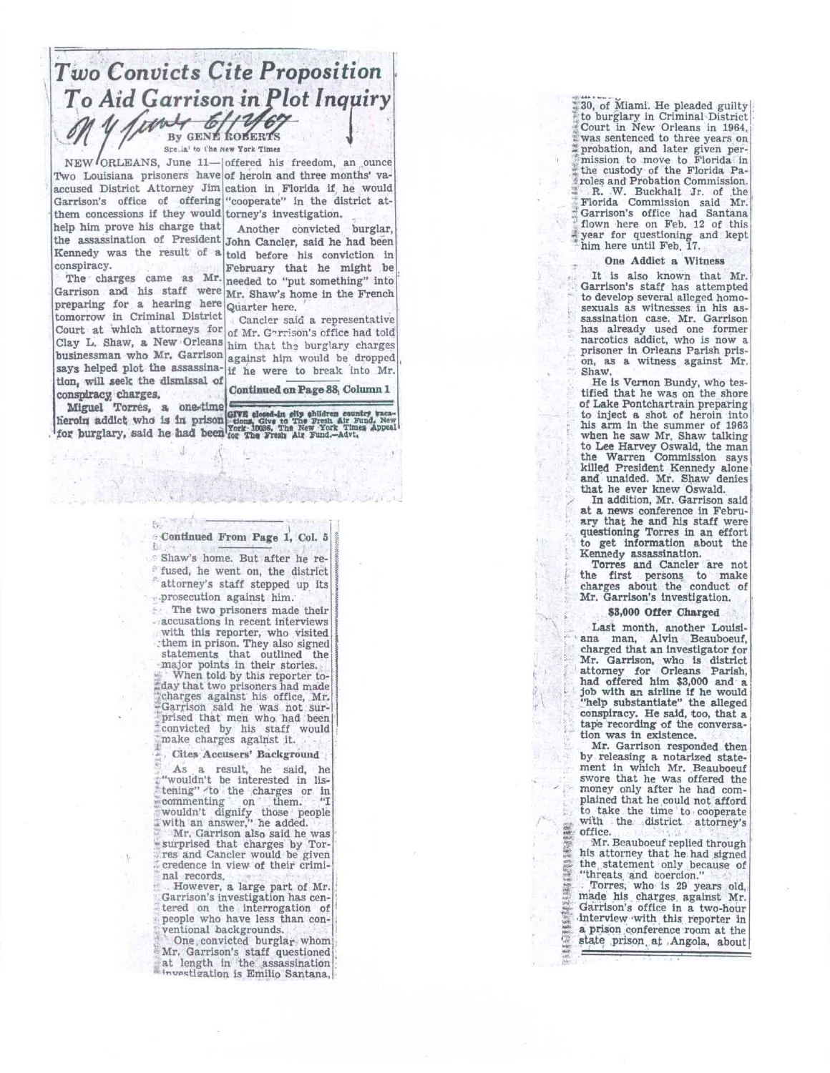### *Two Convicts Cite Proposition To Aid Garrison in lot Inquiry ..4 ti"*  • By GENE ROBERTS to Sice<sub>-la</sub>' to the new York Times

them concessions if they would torney's investigation. help him prove his charge that conspiracy.

preparing for a hearing here Quarter here. Court at which attorneys for of Mr. Garrison's office had told Clay L. Shaw, a New Orleans him that the burglary charges businessman who Mr. Garrison against him would be dropped says helped plot the assassina-if he were to break into Mr. tomorrow in Criminal District tion, will seek the dismissal of conspiracy. charges.

NEW ORLEANS, June 11- offered his freedom, an ounce Two Louisiana prisoners have of heroin and three months' vaaccused District Attorney Jim cation in Florida if he would Garrison's office of offering "cooperate" in the district at-

Another convicted burglar, the assassination of President John Cancler, said he had been Kennedy was the result of  $a$  told before his conviction in February that he might he The charges came as Mr. needed to "put something" into Garrison and his staff were  $\frac{M_r}{m_r}$ . Shaw's home in the French

Candler said a representative

Continued on Page 88, Column 1

Miguel Torres, a one-time

Đe

heroin addict who is in prison to the fire fresh air Fund. New Locre is the first of the fund. New Locre is the fund. If the fund. If the fund. If the fund. If the first of the fund. If the fund. If the fund. If the fund.

#### Continued Front Page 1, Col. 3 Ŧ.

Shaw's home. But after he refused, he went on, the district attorney's staff stepped up its ••.prosecution against him.

The two prisoners made their accusations in recent interviews with this reporter, who visited :them in prison. They also signed statements that outlined the major points in their stories. When told by this reporter today that two prisoners had made "charges against his office, Mr.<br>-Garrison said he was not surprised that men who had been convicted by his staff would make charges against it.

- Cites Accusers' Backgrciund

As a result, he said, he "wouldn't be interested in listening" -to the charges or in<br>commenting on them. "I i-•cominenting on • them. "I wouldn't dignify those people .:with an *answer,"* he added. • Mr. Garrison also said he *was*  surprised that charges by Torres and Cancler would be given credence in view of their criminal records.

However, a large part of Mr. Garrison's investigation has cen-tered on the interrogation of people who have less than conventional backgrounds.

One convicted burglar whom Mr. Garrison's staff questioned at length in the assassination =-mpstigation is Emilio Santana,

30, of Miami. He pleaded guilty to burglary in Criminal District Court in New Orleans in 1964, was sentenced to three *years* on probation, and later given per- ; ' mission to move to Florida in 71 the custody of the Florida Paroles and Probation Commission. ;1 R. W. Buckhalt Jr. of the Florida Commission said Mr. Garrison's office had Santana flown here on Feb. 12 of this year for questioning and kept him here until Feb. 17.

#### One Addict a Witness

It is also known that Mr. Garrison's staff has attempted to develop several alleged homosexuals as witnesses in his as sassination case. Mr. Garrison has already used one former narcotics addict, who is now a prisoner in Orleans Parish prison, as a witness against Mr. Shaw.

He is Vernon Bundy, who testified that he was on the shore of Lake Pontchartrain preparing • to inject a shot of heroin into his arm in the summer of 1963 when he saw Mr. Shaw talking to Lee Harvey Oswald, the man the Warren Commission says killed President Kennedy alone and unaided. Mr. Shaw denies that he ever knew Oswald,

In addition, Mr. Garrison said at a news conference in February that he and his staff were questioning Torres in an effort to get information about the Kennedy assassination.

Torres and Cancler are not the first persons to make charges about the conduct of Mr. Garrison's investigation.

### \$3,000 Offer Charged

Last month, another Loulsi ana man, Alvin Beauboeuf, charged that an investigator for Mr. Garrison, who is district attorney for Orleans Parish, had offered him \$3,000 and a job with an airline if he would "help substantiate" the alleged conspiracy. He said, too, that a tape recording of the conversation was in existence.

Mr. Garrison responded then by releasing a notarized statement in which Mr. Beauboeuf swore that he was offered the money only after he had complained that he could not afford to take the time to cooperate . with the district attorney's • office.

Mr. Beauboeuf replied through his attorney that he had signed the.statement only because of "threats and coercion."

. Torres, who is 29 years old, made his charges. against Mr. Garrison's office in a two-hour 'Interview with this reporter in **a** prison conference room at the state prison at Angola, about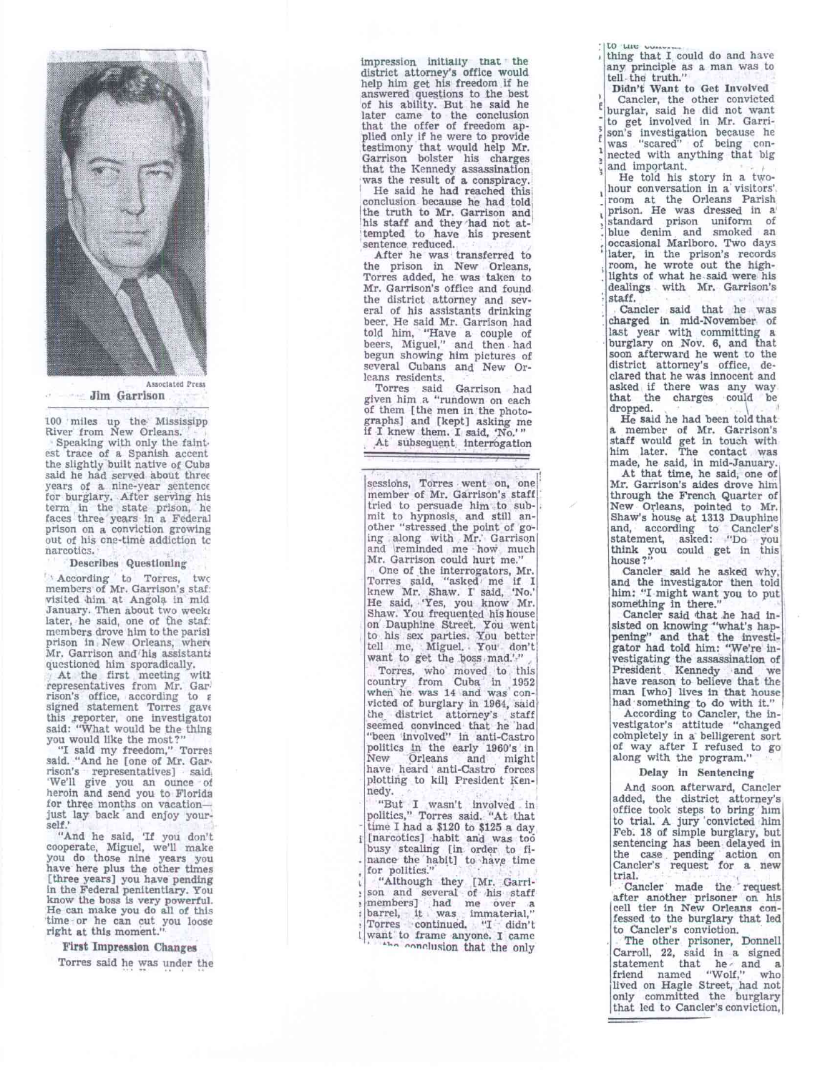

**Jim Garrison** 

100 miles up the Mississipp River from New Orleans. Speaking with only the faint.

est trace of a Spanish accent the slightly built native of Cuba said he had served about three years of a nlne-year sentence for burglary. After serving his<br>term in the state prison, he faces three years in a Federal prison on a conviction growing out of his one-time addiction tc narcotics.

Describes Questioning

' According to Torres, twc members of Mr. Garrison's staf: visited him at Angola in mid January. Then about two week; later, he said, one of the staf: members drove him to the parisl prison in New Orleans, when Mr. Garrison and/his assistantz questioned him sporadically.

At the first meeting will representatives from Mr. Gar. rison's office, according **to E**  signed statement Torres gave this reporter, one investigator said: "What would be the thing you would like the most?" "I said my freedom," Torres said. "And he [one of Mr. Gan•

rison's representatives) said, 'We'll give you an ounce of heroin and send you to Florida for three months on vacation just lay back and enjoy yourself.

"And he said, 'If you don't cooperate, Miguel, we'll make you do those nine years you have here plus the other times [three years] you have pending in the Federal penitentiary. You know the boss is very powerful. He can make you do all of this time or he can cut you loose right at this moment."

# First Impression Changes

Torres said he was under the

impression initially that the district attorney's office would help him get his freedom if he answered questions to the best of his ability. But he said he<br>later came to the conclusion<br>that the offer of freedom applied only if he were to provide testimony that would help Mr. Garrison bolster his charges that the Kennedy assassination, was the result of a conspiracy.

He said he had reached this conclusion because he had told the truth to Mr. Garrison and his staff and they had not at-tempted to have his present sentence reduced.

After he was transferred to the prison in New Orleans, Torres added, he was taken to Mr. Garrison's office and found the district attorney and several of his assistants drinking beer, He said Mr. Garrison had told him, "Have a couple of beers, Miguel," and then had begun showing him pictures of several Cubans and New Orleans residents.

Torres said Garrison had given him a "rundown on each of them [the men in the photographs] and [kept] asking me if I knew them. I said, 'No.'" At subsequent interrogation

sessions, Torres went on, one member of Mr. Garrison's staff tried to persuade him to sub-mit to hypnosis, and still an-other "stressed the point of go-ing along with Mr.' Garrison and 'reminded me how much Mr. Garrison could hurt me."

One of the interrogators, Mr. Torres said, "asked me if I knew Mr. Shaw. I said, 'No.'<br>He said, 'Yes, you know Mr. He said, 'Yes, you know Mr.<br>Shaw. You frequented his house<br>on Dauphine Street. You went<br>to his sex parties want to get the *posy* mad.'-"

Torres, who moved to this country from Cuba in 1952 when he was 14 and was con-<br>when he was 14 and was con-<br>victed of burglary in 1964, said<br>the district attorney's staff<br>seemed convinced that he 'had "been involved" in anti-Castro politics in the early 1960's in New Orleans and might have heard anti-Castrci forces plotting to kill President Kennedy.

"But I wasn't bivalved in politics," Torres said. "At that time I had a \$120 to \$125 a day. [narcotics] habit and was too busy stealing [in order to finance the habit] to have time for politics."

"Although they [Mr. Garri-son and several of his staff members] had me over a barrel, it was immaterial," Torres continued. "I didn't son and several of his staff<br>members] had me over a<br>barrel, it was immaterial,"<br>Torres continued, "I cildn't<br>want to frame anyone. I came the conclusion that the only

**LO Wog**  thing that I could do and have any principle as a man was to tell the truth."

**3**  Didn't Want to Get Involved Cancler, the other convicted burglar, said he did not want to get involved in Mr. Garrison's investigation because he *was* "scared" of being connected with anything that big

1 and important. He told his story in a two-hour conversation in a' visitors'. room at the Orleans Parish prison. He was dressed in a' standard prison uniform of blue denim and smoked an occasional Marlboro. Two days later, in the prison's records room, he wrote out the highlights of what he said were his dealings with Mr. Garrison's staff.

Cancler said that he was charged in mid-November of last year with committing a burglary on Nov. 6, and that soon afterward he went to the district attorney's office, declared that he was innocent and asked if there was any way that the charges could be dropped.

He said he had been told that a member of Mr. Garrison's staff would get in touch with him later. The contact was made, he said, in mid-January.

At that time, he said, one of Mr. Garrison's aides drove him through the French Quarter of New Orleans, pointed to Mr. Shaw's house at 1313 Dauphine<br>and, according to Cancler's<br>statement, asked: "Do you think you could get in this house?"

Cancler said he asked why, and the investigator then told him: "I might want you to put something in there."<br>Cancler said that he had in-

sisted on knowing "what's hap-<br>pening" and that the investi-<br>gator had told him: "We're investigating the assassination of President Kennedy and we have reason to believe that the man [who] lives in that house had something to do with it."

According to Candler, the in-vestigator's attitude "changed completely in a belligerent sort of way after I refused to go along with the program."

# Delay in Sentencing

And soon afterward, Cancler added, the district attorney's office took steps to bring him to trial. A jury 'convicted him Feb. 18 of simple burglary, but sentencing has been delayed in the case pending action on Cancler's request for a new trial.

Cancler made the request after another prisoner on his cell tier in New Orleans confessed to the burglary that led to Cancler's conviction.

The other prisoner, Donnell Carroll, 22, said in a signed statement that he  $\alpha$  and a friend named "Wolf," who lived on Hagle Street, had not only committed the burglary that led to Cancler's conviction,